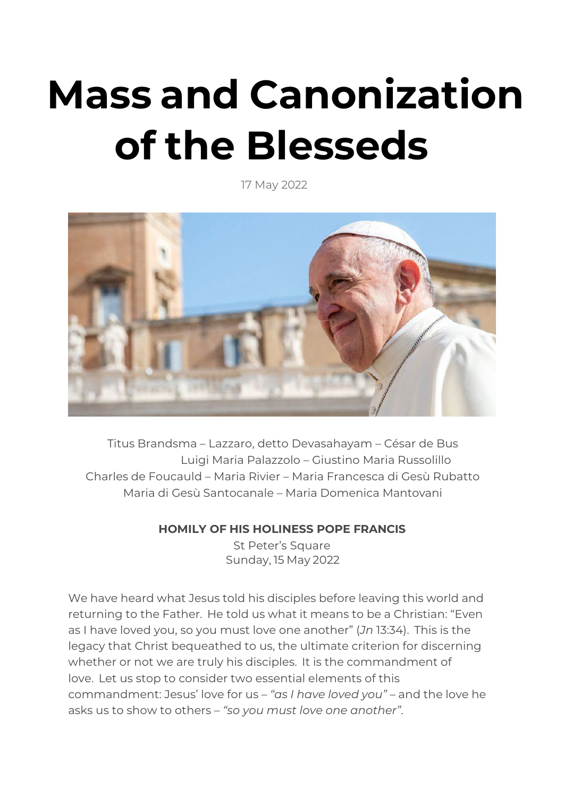## **Mass and Canonization of the Blesseds**

17 May 2022



Titus Brandsma – Lazzaro, detto Devasahayam – César de Bus Luigi Maria Palazzolo – Giustino Maria Russolillo Charles de Foucauld – Maria Rivier – Maria Francesca di Gesù Rubatto Maria di Gesù Santocanale – Maria Domenica Mantovani

## **HOMILY OF HIS HOLINESS POPE FRANCIS**

St Peter's Square Sunday, 15 May 2022

We have heard what Jesus told his disciples before leaving this world and returning to the Father. He told us what it means to be a Christian: "Even as I have loved you, so you must love one another" (*Jn* 13:34). This is the legacy that Christ bequeathed to us, the ultimate criterion for discerning whether or not we are truly his disciples. It is the commandment of love. Let us stop to consider two essential elements of this commandment: Jesus' love for us – *"as I have loved you"* – and the love he asks us to show to others – *"so you must love one another"*.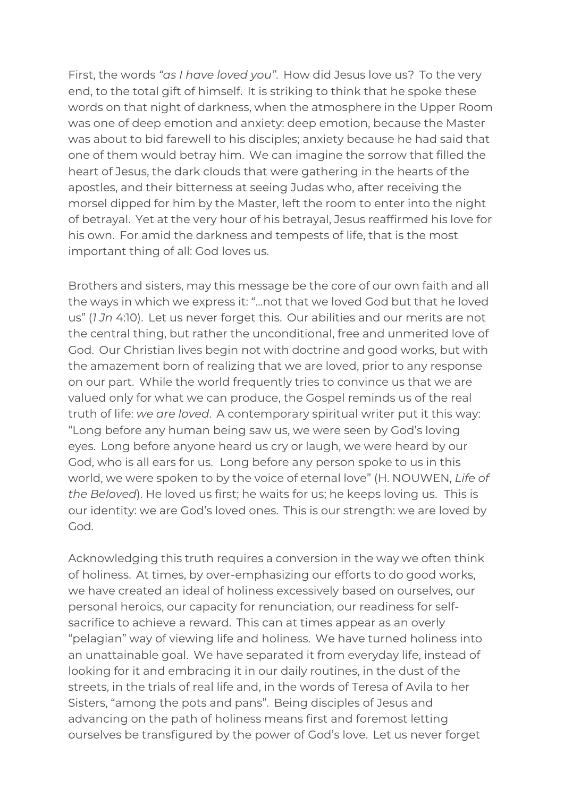First, the words *"as I have loved you"*. How did Jesus love us? To the very end, to the total gift of himself. It is striking to think that he spoke these words on that night of darkness, when the atmosphere in the Upper Room was one of deep emotion and anxiety: deep emotion, because the Master was about to bid farewell to his disciples; anxiety because he had said that one of them would betray him. We can imagine the sorrow that filled the heart of Jesus, the dark clouds that were gathering in the hearts of the apostles, and their bitterness at seeing Judas who, after receiving the morsel dipped for him by the Master, left the room to enter into the night of betrayal. Yet at the very hour of his betrayal, Jesus reaffirmed his love for his own. For amid the darkness and tempests of life, that is the most important thing of all: God loves us.

Brothers and sisters, may this message be the core of our own faith and all the ways in which we express it: "…not that we loved God but that he loved us" (*1 Jn* 4:10). Let us never forget this. Our abilities and our merits are not the central thing, but rather the unconditional, free and unmerited love of God. Our Christian lives begin not with doctrine and good works, but with the amazement born of realizing that we are loved, prior to any response on our part. While the world frequently tries to convince us that we are valued only for what we can produce, the Gospel reminds us of the real truth of life: *we are loved*. A contemporary spiritual writer put it this way: "Long before any human being saw us, we were seen by God's loving eyes. Long before anyone heard us cry or laugh, we were heard by our God, who is all ears for us. Long before any person spoke to us in this world, we were spoken to by the voice of eternal love" (H. NOUWEN, *Life of the Beloved*). He loved us first; he waits for us; he keeps loving us. This is our identity: we are God's loved ones. This is our strength: we are loved by God.

Acknowledging this truth requires a conversion in the way we often think of holiness. At times, by over-emphasizing our efforts to do good works, we have created an ideal of holiness excessively based on ourselves, our personal heroics, our capacity for renunciation, our readiness for selfsacrifice to achieve a reward. This can at times appear as an overly "pelagian" way of viewing life and holiness. We have turned holiness into an unattainable goal. We have separated it from everyday life, instead of looking for it and embracing it in our daily routines, in the dust of the streets, in the trials of real life and, in the words of Teresa of Avila to her Sisters, "among the pots and pans". Being disciples of Jesus and advancing on the path of holiness means first and foremost letting ourselves be transfigured by the power of God's love. Let us never forget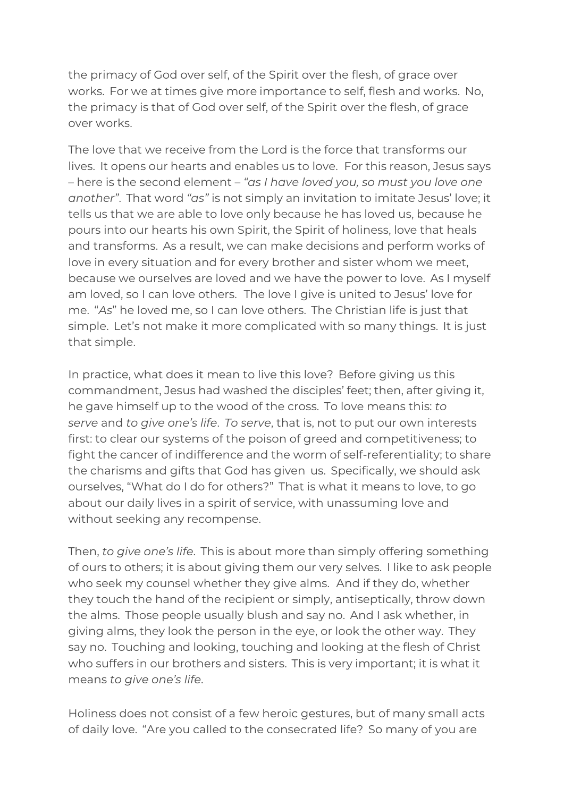the primacy of God over self, of the Spirit over the flesh, of grace over works. For we at times give more importance to self, flesh and works. No, the primacy is that of God over self, of the Spirit over the flesh, of grace over works.

The love that we receive from the Lord is the force that transforms our lives. It opens our hearts and enables us to love. For this reason, Jesus says – here is the second element – *"as I have loved you, so must you love one another"*. That word *"as"* is not simply an invitation to imitate Jesus' love; it tells us that we are able to love only because he has loved us, because he pours into our hearts his own Spirit, the Spirit of holiness, love that heals and transforms. As a result, we can make decisions and perform works of love in every situation and for every brother and sister whom we meet, because we ourselves are loved and we have the power to love. As I myself am loved, so I can love others. The love I give is united to Jesus' love for me. "*As*" he loved me, so I can love others. The Christian life is just that simple. Let's not make it more complicated with so many things. It is just that simple.

In practice, what does it mean to live this love? Before giving us this commandment, Jesus had washed the disciples' feet; then, after giving it, he gave himself up to the wood of the cross. To love means this: *to serve* and *to give one's life*. *To serve*, that is, not to put our own interests first: to clear our systems of the poison of greed and competitiveness; to fight the cancer of indifference and the worm of self-referentiality; to share the charisms and gifts that God has given us. Specifically, we should ask ourselves, "What do I do for others?" That is what it means to love, to go about our daily lives in a spirit of service, with unassuming love and without seeking any recompense.

Then, *to give one's life*. This is about more than simply offering something of ours to others; it is about giving them our very selves. I like to ask people who seek my counsel whether they give alms. And if they do, whether they touch the hand of the recipient or simply, antiseptically, throw down the alms. Those people usually blush and say no. And I ask whether, in giving alms, they look the person in the eye, or look the other way. They say no. Touching and looking, touching and looking at the flesh of Christ who suffers in our brothers and sisters. This is very important; it is what it means *to give one's life*.

Holiness does not consist of a few heroic gestures, but of many small acts of daily love. "Are you called to the consecrated life? So many of you are